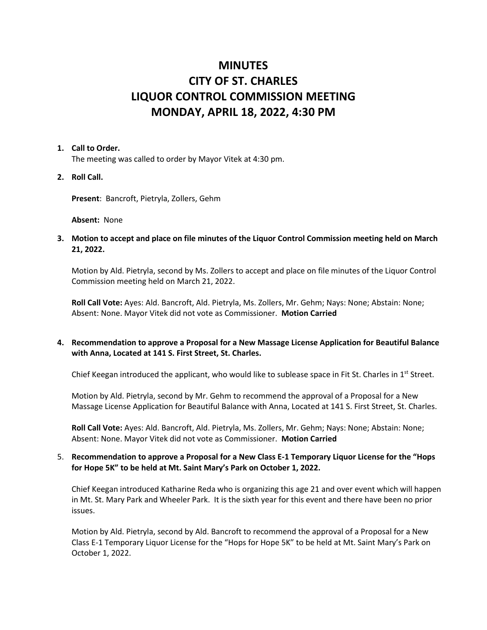# **MINUTES CITY OF ST. CHARLES LIQUOR CONTROL COMMISSION MEETING MONDAY, APRIL 18, 2022, 4:30 PM**

### **1. Call to Order.**

The meeting was called to order by Mayor Vitek at 4:30 pm.

**2. Roll Call.**

**Present**: Bancroft, Pietryla, Zollers, Gehm

**Absent:** None

**3. Motion to accept and place on file minutes of the Liquor Control Commission meeting held on March 21, 2022.** 

Motion by Ald. Pietryla, second by Ms. Zollers to accept and place on file minutes of the Liquor Control Commission meeting held on March 21, 2022.

**Roll Call Vote:** Ayes: Ald. Bancroft, Ald. Pietryla, Ms. Zollers, Mr. Gehm; Nays: None; Abstain: None; Absent: None. Mayor Vitek did not vote as Commissioner. **Motion Carried**

# **4. Recommendation to approve a Proposal for a New Massage License Application for Beautiful Balance with Anna, Located at 141 S. First Street, St. Charles.**

Chief Keegan introduced the applicant, who would like to sublease space in Fit St. Charles in  $1<sup>st</sup>$  Street.

Motion by Ald. Pietryla, second by Mr. Gehm to recommend the approval of a Proposal for a New Massage License Application for Beautiful Balance with Anna, Located at 141 S. First Street, St. Charles.

**Roll Call Vote:** Ayes: Ald. Bancroft, Ald. Pietryla, Ms. Zollers, Mr. Gehm; Nays: None; Abstain: None; Absent: None. Mayor Vitek did not vote as Commissioner. **Motion Carried**

# 5. **Recommendation to approve a Proposal for a New Class E-1 Temporary Liquor License for the "Hops for Hope 5K" to be held at Mt. Saint Mary's Park on October 1, 2022.**

Chief Keegan introduced Katharine Reda who is organizing this age 21 and over event which will happen in Mt. St. Mary Park and Wheeler Park. It is the sixth year for this event and there have been no prior issues.

Motion by Ald. Pietryla, second by Ald. Bancroft to recommend the approval of a Proposal for a New Class E-1 Temporary Liquor License for the "Hops for Hope 5K" to be held at Mt. Saint Mary's Park on October 1, 2022.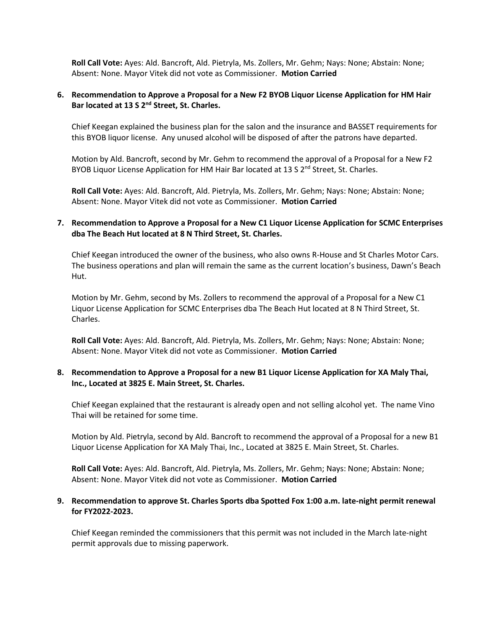**Roll Call Vote:** Ayes: Ald. Bancroft, Ald. Pietryla, Ms. Zollers, Mr. Gehm; Nays: None; Abstain: None; Absent: None. Mayor Vitek did not vote as Commissioner. **Motion Carried**

### **6. Recommendation to Approve a Proposal for a New F2 BYOB Liquor License Application for HM Hair Bar located at 13 S 2nd Street, St. Charles.**

Chief Keegan explained the business plan for the salon and the insurance and BASSET requirements for this BYOB liquor license. Any unused alcohol will be disposed of after the patrons have departed.

Motion by Ald. Bancroft, second by Mr. Gehm to recommend the approval of a Proposal for a New F2 BYOB Liquor License Application for HM Hair Bar located at 13 S  $2<sup>nd</sup>$  Street, St. Charles.

**Roll Call Vote:** Ayes: Ald. Bancroft, Ald. Pietryla, Ms. Zollers, Mr. Gehm; Nays: None; Abstain: None; Absent: None. Mayor Vitek did not vote as Commissioner. **Motion Carried**

## **7. Recommendation to Approve a Proposal for a New C1 Liquor License Application for SCMC Enterprises dba The Beach Hut located at 8 N Third Street, St. Charles.**

Chief Keegan introduced the owner of the business, who also owns R-House and St Charles Motor Cars. The business operations and plan will remain the same as the current location's business, Dawn's Beach Hut.

Motion by Mr. Gehm, second by Ms. Zollers to recommend the approval of a Proposal for a New C1 Liquor License Application for SCMC Enterprises dba The Beach Hut located at 8 N Third Street, St. Charles.

**Roll Call Vote:** Ayes: Ald. Bancroft, Ald. Pietryla, Ms. Zollers, Mr. Gehm; Nays: None; Abstain: None; Absent: None. Mayor Vitek did not vote as Commissioner. **Motion Carried**

# **8. Recommendation to Approve a Proposal for a new B1 Liquor License Application for XA Maly Thai, Inc., Located at 3825 E. Main Street, St. Charles.**

Chief Keegan explained that the restaurant is already open and not selling alcohol yet. The name Vino Thai will be retained for some time.

Motion by Ald. Pietryla, second by Ald. Bancroft to recommend the approval of a Proposal for a new B1 Liquor License Application for XA Maly Thai, Inc., Located at 3825 E. Main Street, St. Charles.

**Roll Call Vote:** Ayes: Ald. Bancroft, Ald. Pietryla, Ms. Zollers, Mr. Gehm; Nays: None; Abstain: None; Absent: None. Mayor Vitek did not vote as Commissioner. **Motion Carried**

## **9. Recommendation to approve St. Charles Sports dba Spotted Fox 1:00 a.m. late-night permit renewal for FY2022-2023.**

Chief Keegan reminded the commissioners that this permit was not included in the March late-night permit approvals due to missing paperwork.